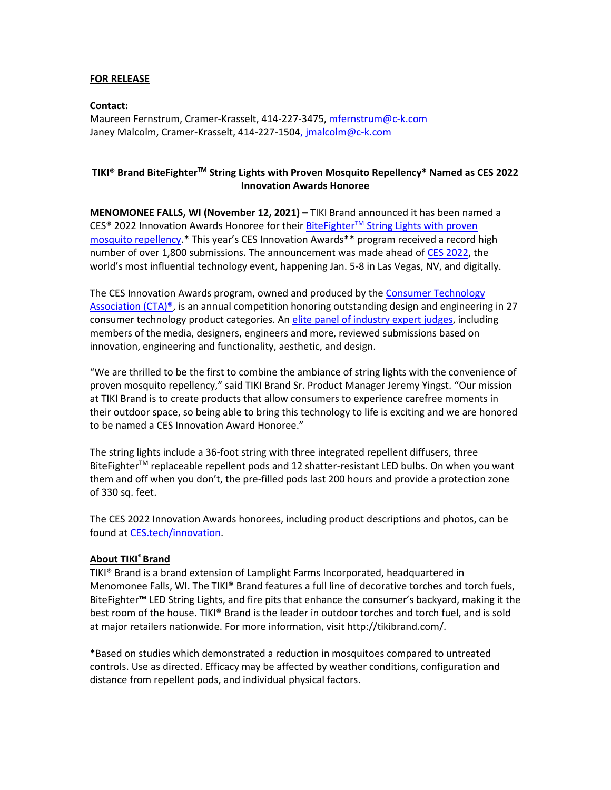## **FOR RELEASE**

**Contact:** Maureen Fernstrum, Cramer-Krasselt, 414-227-3475, [mfernstrum@c-k.com](about:blank) Janey Malcolm, Cramer-Krasselt, 414-227-1504, [jmalcolm@c-k.com](mailto:jmalcolm@c-k.com)

## **TIKI® Brand BiteFighterTM String Lights with Proven Mosquito Repellency\* Named as CES 2022 Innovation Awards Honoree**

**MENOMONEE FALLS, WI (November 12, 2021) –** TIKI Brand announced it has been named a CES® 2022 Innovation Awards Honoree for their BiteFighterTM [String Lights with proven](https://www.tikibrand.com/bitefighter-led-string-lights)  [mosquito repellency.](https://www.tikibrand.com/bitefighter-led-string-lights)\* This year's CES Innovation Awards\*\* program received a record high number of over 1,800 submissions. The announcement was made ahead of [CES 2022,](https://www.ces.tech/) the world's most influential technology event, happening Jan. 5-8 in Las Vegas, NV, and digitally.

The CES Innovation Awards program, owned and produced by the [Consumer Technology](https://www.cta.tech/)  Association (CTA)<sup>®</sup>, is an annual competition honoring outstanding design and engineering in 27 consumer technology product categories. An [elite panel of industry expert judges,](https://ces.tech/Innovation-Awards/Meet-the-CES-2021-Judges.aspx) including members of the media, designers, engineers and more, reviewed submissions based on innovation, engineering and functionality, aesthetic, and design.

"We are thrilled to be the first to combine the ambiance of string lights with the convenience of proven mosquito repellency," said TIKI Brand Sr. Product Manager Jeremy Yingst. "Our mission at TIKI Brand is to create products that allow consumers to experience carefree moments in their outdoor space, so being able to bring this technology to life is exciting and we are honored to be named a CES Innovation Award Honoree."

The string lights include a 36-foot string with three integrated repellent diffusers, three BiteFighter<sup>™</sup> replaceable repellent pods and 12 shatter-resistant LED bulbs. On when you want them and off when you don't, the pre-filled pods last 200 hours and provide a protection zone of 330 sq. feet.

The CES 2022 Innovation Awards honorees, including product descriptions and photos, can be found a[t CES.tech/innovation.](https://ces.tech/Innovation-Awards/Honorees.aspx)

## **About TIKI® Brand**

TIKI® Brand is a brand extension of Lamplight Farms Incorporated, headquartered in Menomonee Falls, WI. The TIKI® Brand features a full line of decorative torches and torch fuels, BiteFighter™ LED String Lights, and fire pits that enhance the consumer's backyard, making it the best room of the house. TIKI® Brand is the leader in outdoor torches and torch fuel, and is sold at major retailers nationwide. For more information, visit http://tikibrand.com/.

\*Based on studies which demonstrated a reduction in mosquitoes compared to untreated controls. Use as directed. Efficacy may be affected by weather conditions, configuration and distance from repellent pods, and individual physical factors.